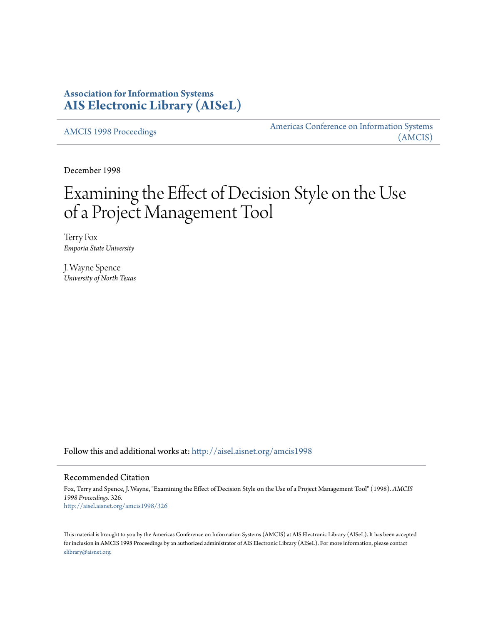## **Association for Information Systems [AIS Electronic Library \(AISeL\)](http://aisel.aisnet.org?utm_source=aisel.aisnet.org%2Famcis1998%2F326&utm_medium=PDF&utm_campaign=PDFCoverPages)**

[AMCIS 1998 Proceedings](http://aisel.aisnet.org/amcis1998?utm_source=aisel.aisnet.org%2Famcis1998%2F326&utm_medium=PDF&utm_campaign=PDFCoverPages)

[Americas Conference on Information Systems](http://aisel.aisnet.org/amcis?utm_source=aisel.aisnet.org%2Famcis1998%2F326&utm_medium=PDF&utm_campaign=PDFCoverPages) [\(AMCIS\)](http://aisel.aisnet.org/amcis?utm_source=aisel.aisnet.org%2Famcis1998%2F326&utm_medium=PDF&utm_campaign=PDFCoverPages)

December 1998

# Examining the Effect of Decision Style on the Use of a Project Management Tool

Terry Fox *Emporia State University*

J. Wayne Spence *University of North Texas*

Follow this and additional works at: [http://aisel.aisnet.org/amcis1998](http://aisel.aisnet.org/amcis1998?utm_source=aisel.aisnet.org%2Famcis1998%2F326&utm_medium=PDF&utm_campaign=PDFCoverPages)

#### Recommended Citation

Fox, Terry and Spence, J. Wayne, "Examining the Effect of Decision Style on the Use of a Project Management Tool" (1998). *AMCIS 1998 Proceedings*. 326. [http://aisel.aisnet.org/amcis1998/326](http://aisel.aisnet.org/amcis1998/326?utm_source=aisel.aisnet.org%2Famcis1998%2F326&utm_medium=PDF&utm_campaign=PDFCoverPages)

This material is brought to you by the Americas Conference on Information Systems (AMCIS) at AIS Electronic Library (AISeL). It has been accepted for inclusion in AMCIS 1998 Proceedings by an authorized administrator of AIS Electronic Library (AISeL). For more information, please contact [elibrary@aisnet.org.](mailto:elibrary@aisnet.org%3E)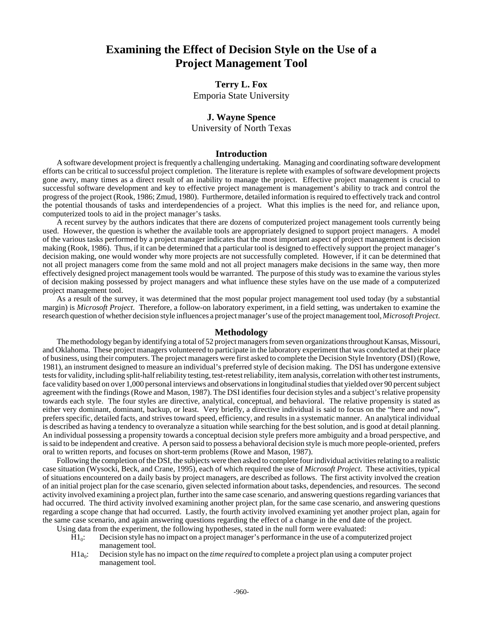# **Examining the Effect of Decision Style on the Use of a Project Management Tool**

## **Terry L. Fox**

Emporia State University

### **J. Wayne Spence**

University of North Texas

#### **Introduction**

A software development project is frequently a challenging undertaking. Managing and coordinating software development efforts can be critical to successful project completion. The literature is replete with examples of software development projects gone awry, many times as a direct result of an inability to manage the project. Effective project management is crucial to successful software development and key to effective project management is management's ability to track and control the progress of the project (Rook, 1986; Zmud, 1980). Furthermore, detailed information is required to effectively track and control the potential thousands of tasks and interdependencies of a project. What this implies is the need for, and reliance upon, computerized tools to aid in the project manager's tasks.

A recent survey by the authors indicates that there are dozens of computerized project management tools currently being used. However, the question is whether the available tools are appropriately designed to support project managers. A model of the various tasks performed by a project manager indicates that the most important aspect of project management is decision making (Rook, 1986). Thus, if it can be determined that a particular tool is designed to effectively support the project manager's decision making, one would wonder why more projects are not successfully completed. However, if it can be determined that not all project managers come from the same mold and not all project managers make decisions in the same way, then more effectively designed project management tools would be warranted. The purpose of this study was to examine the various styles of decision making possessed by project managers and what influence these styles have on the use made of a computerized project management tool.

As a result of the survey, it was determined that the most popular project management tool used today (by a substantial margin) is *Microsoft Project*. Therefore, a follow-on laboratory experiment, in a field setting, was undertaken to examine the research question of whether decision style influences a project manager's use of the project management tool, *Microsoft Project*.

#### **Methodology**

The methodology began by identifying a total of 52 project managers from seven organizations throughout Kansas, Missouri, and Oklahoma. These project managers volunteered to participate in the laboratory experiment that was conducted at their place of business, using their computers. The project managers were first asked to complete the Decision Style Inventory (DSI) (Rowe, 1981), an instrument designed to measure an individual's preferred style of decision making. The DSI has undergone extensive tests for validity, including split-half reliability testing, test-retest reliability, item analysis, correlation with other test instruments, face validity based on over 1,000 personal interviews and observations in longitudinal studies that yielded over 90 percent subject agreement with the findings (Rowe and Mason, 1987). The DSI identifies four decision styles and a subject's relative propensity towards each style. The four styles are directive, analytical, conceptual, and behavioral. The relative propensity is stated as either very dominant, dominant, backup, or least. Very briefly, a directive individual is said to focus on the "here and now", prefers specific, detailed facts, and strives toward speed, efficiency, and results in a systematic manner. An analytical individual is described as having a tendency to overanalyze a situation while searching for the best solution, and is good at detail planning. An individual possessing a propensity towards a conceptual decision style prefers more ambiguity and a broad perspective, and is said to be independent and creative. A person said to possess a behavioral decision style is much more people-oriented, prefers oral to written reports, and focuses on short-term problems (Rowe and Mason, 1987).

Following the completion of the DSI, the subjects were then asked to complete four individual activities relating to a realistic case situation (Wysocki, Beck, and Crane, 1995), each of which required the use of *Microsoft Project*. These activities, typical of situations encountered on a daily basis by project managers, are described as follows. The first activity involved the creation of an initial project plan for the case scenario, given selected information about tasks, dependencies, and resources. The second activity involved examining a project plan, further into the same case scenario, and answering questions regarding variances that had occurred. The third activity involved examining another project plan, for the same case scenario, and answering questions regarding a scope change that had occurred. Lastly, the fourth activity involved examining yet another project plan, again for the same case scenario, and again answering questions regarding the effect of a change in the end date of the project.

Using data from the experiment, the following hypotheses, stated in the null form were evaluated:

- $H1_0$ : Decision style has no impact on a project manager's performance in the use of a computerized project management tool.
- H1a<sub>0</sub>: Decision style has no impact on the *time required* to complete a project plan using a computer project management tool.